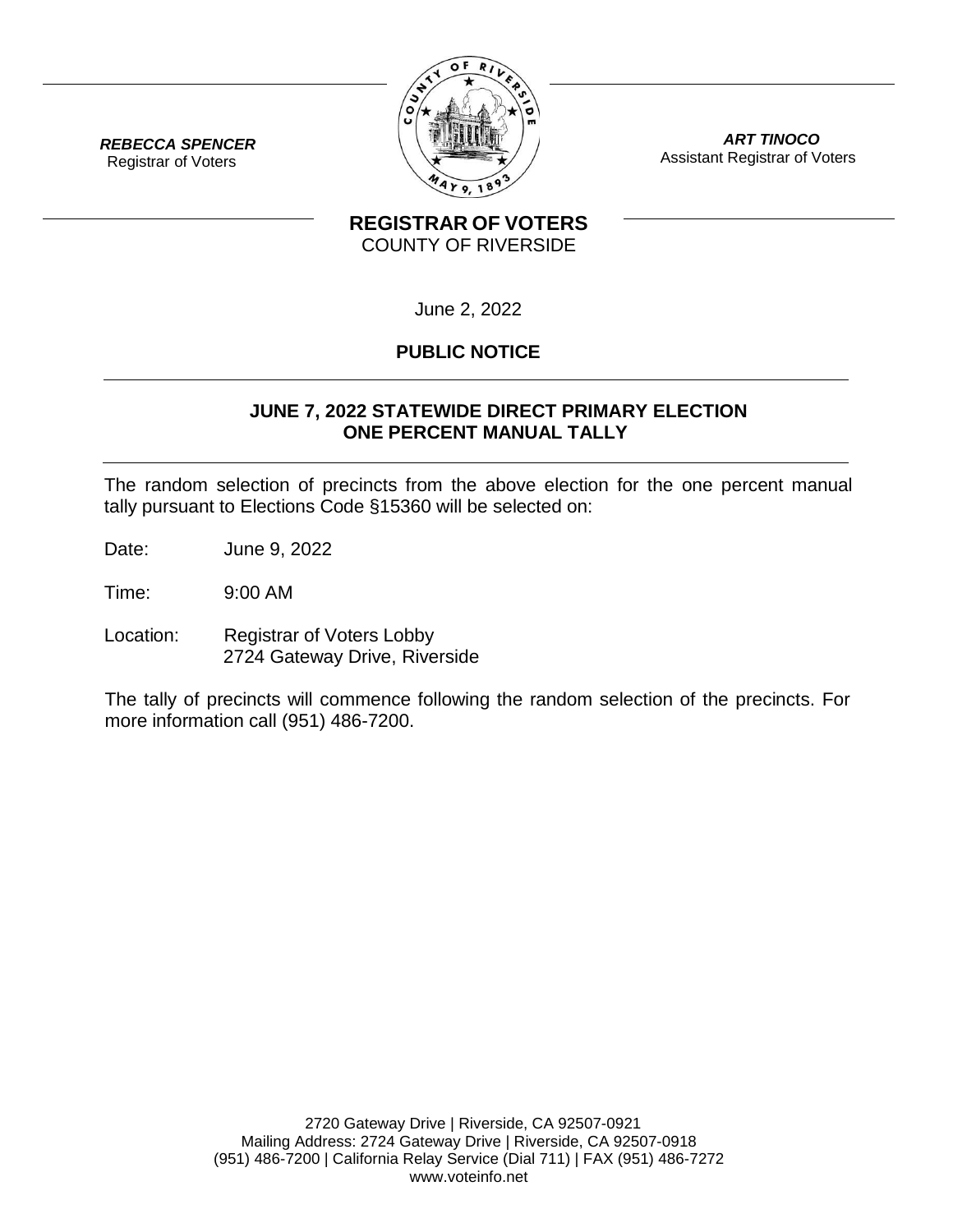

*ART TINOCO* Assistant Registrar of Voters

*REBECCA SPENCER* Registrar of Voters

## **REGISTRAR OF VOTERS** COUNTY OF RIVERSIDE

June 2, 2022

# **PUBLIC NOTICE**

### **JUNE 7, 2022 STATEWIDE DIRECT PRIMARY ELECTION ONE PERCENT MANUAL TALLY**

The random selection of precincts from the above election for the one percent manual tally pursuant to Elections Code §15360 will be selected on:

Date: June 9, 2022

Time: 9:00 AM

Location: Registrar of Voters Lobby 2724 Gateway Drive, Riverside

The tally of precincts will commence following the random selection of the precincts. For more information call (951) 486-7200.